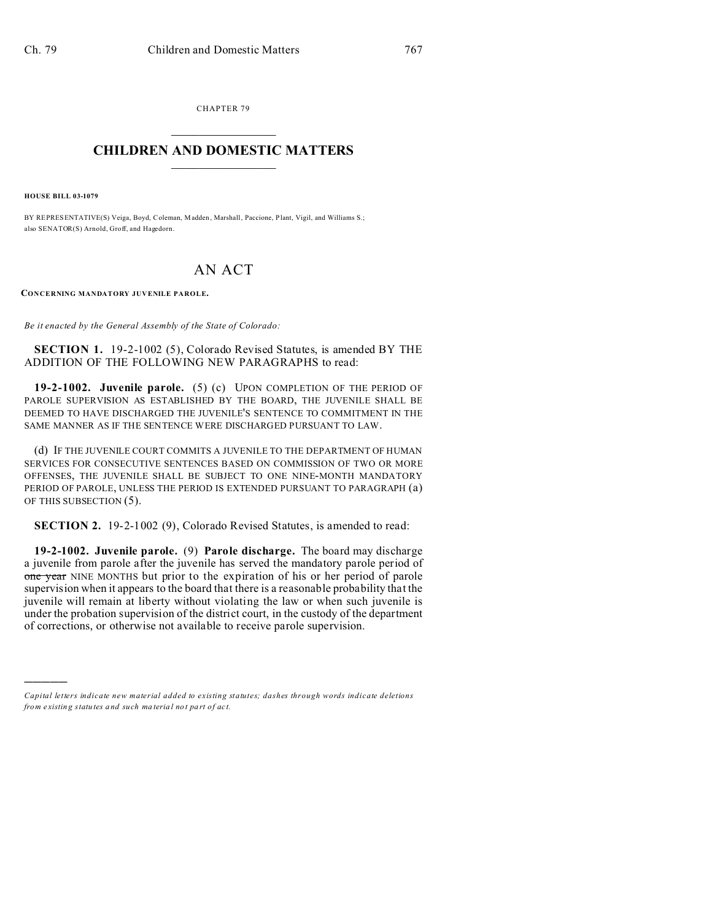CHAPTER 79  $\overline{\phantom{a}}$  , where  $\overline{\phantom{a}}$ 

## **CHILDREN AND DOMESTIC MATTERS**  $\_$   $\_$

**HOUSE BILL 03-1079**

)))))

BY REPRESENTATIVE(S) Veiga, Boyd, Coleman, Madden, Marshall, Paccione, Plant, Vigil, and Williams S.; also SENATOR(S) Arnold, Groff, and Hagedorn.

## AN ACT

**CONCERNING MANDATORY JUVENILE PAROLE.**

*Be it enacted by the General Assembly of the State of Colorado:*

**SECTION 1.** 19-2-1002 (5), Colorado Revised Statutes, is amended BY THE ADDITION OF THE FOLLOWING NEW PARAGRAPHS to read:

**19-2-1002. Juvenile parole.** (5) (c) UPON COMPLETION OF THE PERIOD OF PAROLE SUPERVISION AS ESTABLISHED BY THE BOARD, THE JUVENILE SHALL BE DEEMED TO HAVE DISCHARGED THE JUVENILE'S SENTENCE TO COMMITMENT IN THE SAME MANNER AS IF THE SENTENCE WERE DISCHARGED PURSUANT TO LAW.

(d) IF THE JUVENILE COURT COMMITS A JUVENILE TO THE DEPARTMENT OF HUMAN SERVICES FOR CONSECUTIVE SENTENCES BASED ON COMMISSION OF TWO OR MORE OFFENSES, THE JUVENILE SHALL BE SUBJECT TO ONE NINE-MONTH MANDATORY PERIOD OF PAROLE, UNLESS THE PERIOD IS EXTENDED PURSUANT TO PARAGRAPH (a) OF THIS SUBSECTION (5).

**SECTION 2.** 19-2-1002 (9), Colorado Revised Statutes, is amended to read:

**19-2-1002. Juvenile parole.** (9) **Parole discharge.** The board may discharge a juvenile from parole after the juvenile has served the mandatory parole period of one year NINE MONTHS but prior to the expiration of his or her period of parole supervision when it appears to the board that there is a reasonable probability that the juvenile will remain at liberty without violating the law or when such juvenile is under the probation supervision of the district court, in the custody of the department of corrections, or otherwise not available to receive parole supervision.

*Capital letters indicate new material added to existing statutes; dashes through words indicate deletions from e xistin g statu tes a nd such ma teria l no t pa rt of ac t.*